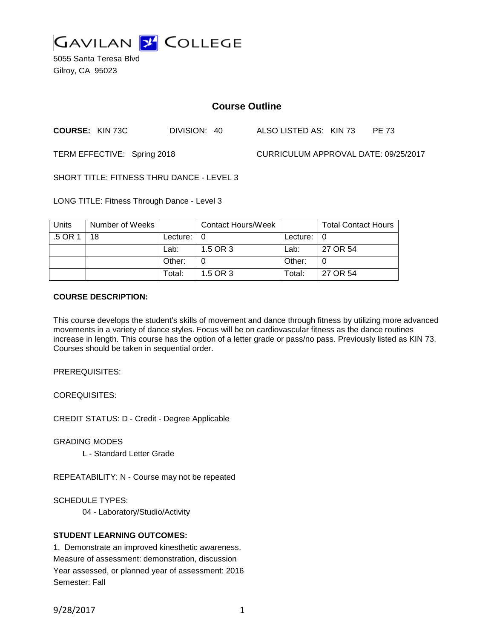

5055 Santa Teresa Blvd Gilroy, CA 95023

# **Course Outline**

**COURSE:** KIN 73C DIVISION: 40 ALSO LISTED AS: KIN 73 PE 73

TERM EFFECTIVE: Spring 2018 CURRICULUM APPROVAL DATE: 09/25/2017

SHORT TITLE: FITNESS THRU DANCE - LEVEL 3

LONG TITLE: Fitness Through Dance - Level 3

| <b>Units</b> | Number of Weeks |               | <b>Contact Hours/Week</b> |                            | <b>Total Contact Hours</b> |
|--------------|-----------------|---------------|---------------------------|----------------------------|----------------------------|
| .5 OR 1      | 18              | Lecture: $ 0$ |                           | Lecture: $\vert 0 \rangle$ |                            |
|              |                 | Lab:          | 1.5 OR 3                  | Lab:                       | 27 OR 54                   |
|              |                 | Other:        |                           | Other:                     |                            |
|              |                 | Total:        | 1.5 OR 3                  | Total:                     | 27 OR 54                   |

#### **COURSE DESCRIPTION:**

This course develops the student's skills of movement and dance through fitness by utilizing more advanced movements in a variety of dance styles. Focus will be on cardiovascular fitness as the dance routines increase in length. This course has the option of a letter grade or pass/no pass. Previously listed as KIN 73. Courses should be taken in sequential order.

PREREQUISITES:

COREQUISITES:

CREDIT STATUS: D - Credit - Degree Applicable

GRADING MODES

L - Standard Letter Grade

REPEATABILITY: N - Course may not be repeated

SCHEDULE TYPES:

04 - Laboratory/Studio/Activity

### **STUDENT LEARNING OUTCOMES:**

1. Demonstrate an improved kinesthetic awareness. Measure of assessment: demonstration, discussion Year assessed, or planned year of assessment: 2016 Semester: Fall

9/28/2017 1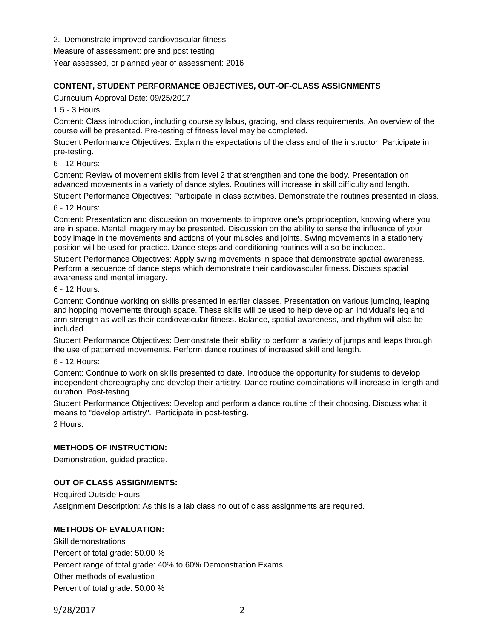2. Demonstrate improved cardiovascular fitness.

Measure of assessment: pre and post testing

Year assessed, or planned year of assessment: 2016

# **CONTENT, STUDENT PERFORMANCE OBJECTIVES, OUT-OF-CLASS ASSIGNMENTS**

Curriculum Approval Date: 09/25/2017

1.5 - 3 Hours:

Content: Class introduction, including course syllabus, grading, and class requirements. An overview of the course will be presented. Pre-testing of fitness level may be completed.

Student Performance Objectives: Explain the expectations of the class and of the instructor. Participate in pre-testing.

6 - 12 Hours:

Content: Review of movement skills from level 2 that strengthen and tone the body. Presentation on advanced movements in a variety of dance styles. Routines will increase in skill difficulty and length.

Student Performance Objectives: Participate in class activities. Demonstrate the routines presented in class.

6 - 12 Hours:

Content: Presentation and discussion on movements to improve one's proprioception, knowing where you are in space. Mental imagery may be presented. Discussion on the ability to sense the influence of your body image in the movements and actions of your muscles and joints. Swing movements in a stationery position will be used for practice. Dance steps and conditioning routines will also be included.

Student Performance Objectives: Apply swing movements in space that demonstrate spatial awareness. Perform a sequence of dance steps which demonstrate their cardiovascular fitness. Discuss spacial awareness and mental imagery.

6 - 12 Hours:

Content: Continue working on skills presented in earlier classes. Presentation on various jumping, leaping, and hopping movements through space. These skills will be used to help develop an individual's leg and arm strength as well as their cardiovascular fitness. Balance, spatial awareness, and rhythm will also be included.

Student Performance Objectives: Demonstrate their ability to perform a variety of jumps and leaps through the use of patterned movements. Perform dance routines of increased skill and length.

6 - 12 Hours:

Content: Continue to work on skills presented to date. Introduce the opportunity for students to develop independent choreography and develop their artistry. Dance routine combinations will increase in length and duration. Post-testing.

Student Performance Objectives: Develop and perform a dance routine of their choosing. Discuss what it means to "develop artistry". Participate in post-testing.

2 Hours:

### **METHODS OF INSTRUCTION:**

Demonstration, guided practice.

### **OUT OF CLASS ASSIGNMENTS:**

Required Outside Hours: Assignment Description: As this is a lab class no out of class assignments are required.

# **METHODS OF EVALUATION:**

Skill demonstrations Percent of total grade: 50.00 % Percent range of total grade: 40% to 60% Demonstration Exams Other methods of evaluation Percent of total grade: 50.00 %

9/28/2017 2